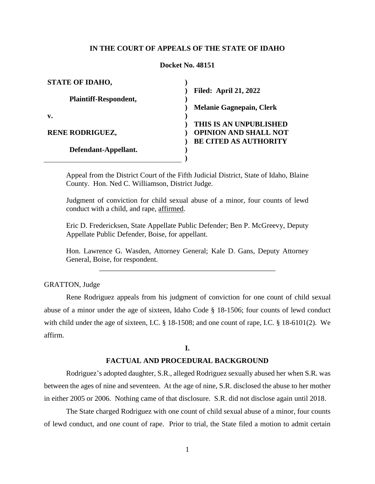## **IN THE COURT OF APPEALS OF THE STATE OF IDAHO**

#### **Docket No. 48151**

| <b>STATE OF IDAHO,</b>       |                                 |
|------------------------------|---------------------------------|
|                              | <b>Filed: April 21, 2022</b>    |
| <b>Plaintiff-Respondent,</b> |                                 |
|                              | <b>Melanie Gagnepain, Clerk</b> |
| v.                           |                                 |
|                              | THIS IS AN UNPUBLISHED          |
| <b>RENE RODRIGUEZ,</b>       | <b>OPINION AND SHALL NOT</b>    |
|                              | <b>BE CITED AS AUTHORITY</b>    |
| Defendant-Appellant.         |                                 |
|                              |                                 |

Appeal from the District Court of the Fifth Judicial District, State of Idaho, Blaine County. Hon. Ned C. Williamson, District Judge.

Judgment of conviction for child sexual abuse of a minor, four counts of lewd conduct with a child, and rape, affirmed.

Eric D. Fredericksen, State Appellate Public Defender; Ben P. McGreevy, Deputy Appellate Public Defender, Boise, for appellant.

Hon. Lawrence G. Wasden, Attorney General; Kale D. Gans, Deputy Attorney General, Boise, for respondent. \_\_\_\_\_\_\_\_\_\_\_\_\_\_\_\_\_\_\_\_\_\_\_\_\_\_\_\_\_\_\_\_\_\_\_\_\_\_\_\_\_\_\_\_\_\_\_\_

GRATTON, Judge

Rene Rodriguez appeals from his judgment of conviction for one count of child sexual abuse of a minor under the age of sixteen, Idaho Code § 18-1506; four counts of lewd conduct with child under the age of sixteen, I.C. § 18-1508; and one count of rape, I.C. § 18-6101(2). We affirm.

### **I.**

## **FACTUAL AND PROCEDURAL BACKGROUND**

Rodriguez's adopted daughter, S.R., alleged Rodriguez sexually abused her when S.R. was between the ages of nine and seventeen. At the age of nine, S.R. disclosed the abuse to her mother in either 2005 or 2006. Nothing came of that disclosure. S.R. did not disclose again until 2018.

The State charged Rodriguez with one count of child sexual abuse of a minor, four counts of lewd conduct, and one count of rape. Prior to trial, the State filed a motion to admit certain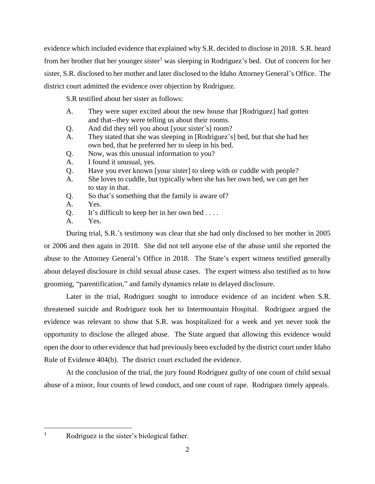evidence which included evidence that explained why S.R. decided to disclose in 2018. S.R. heard from her brother that her younger sister<sup>1</sup> was sleeping in Rodriguez's bed. Out of concern for her sister, S.R. disclosed to her mother and later disclosed to the Idaho Attorney General's Office. The district court admitted the evidence over objection by Rodriguez.

S.R testified about her sister as follows:

- A. They were super excited about the new house that [Rodriguez] had gotten and that--they were telling us about their rooms.
- Q. And did they tell you about [your sister's] room?
- A. They stated that she was sleeping in [Rodriguez's] bed, but that she had her own bed, that he preferred her to sleep in his bed.
- Q. Now, was this unusual information to you?
- A. I found it unusual, yes.
- Q. Have you ever known [your sister] to sleep with or cuddle with people?
- A. She loves to cuddle, but typically when she has her own bed, we can get her to stay in that.
- Q. So that's something that the family is aware of?
- A. Yes.
- $Q.$  It's difficult to keep her in her own bed ....
- A. Yes.

During trial, S.R.'s testimony was clear that she had only disclosed to her mother in 2005 or 2006 and then again in 2018. She did not tell anyone else of the abuse until she reported the abuse to the Attorney General's Office in 2018. The State's expert witness testified generally about delayed disclosure in child sexual abuse cases. The expert witness also testified as to how grooming, "parentification," and family dynamics relate to delayed disclosure.

Later in the trial, Rodriguez sought to introduce evidence of an incident when S.R. threatened suicide and Rodriguez took her to Intermountain Hospital. Rodriguez argued the evidence was relevant to show that S.R. was hospitalized for a week and yet never took the opportunity to disclose the alleged abuse. The State argued that allowing this evidence would open the door to other evidence that had previously been excluded by the district court under Idaho Rule of Evidence 404(b). The district court excluded the evidence.

At the conclusion of the trial, the jury found Rodriguez guilty of one count of child sexual abuse of a minor, four counts of lewd conduct, and one count of rape. Rodriguez timely appeals.

 $\mathbf{1}$ 

Rodriguez is the sister's biological father.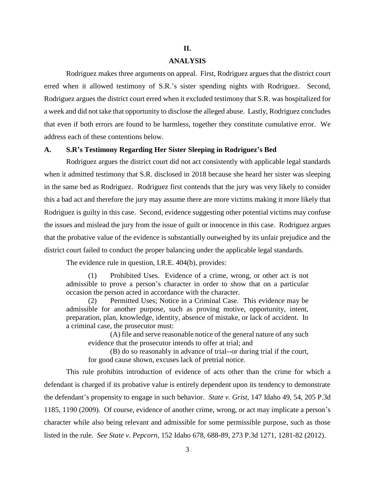### **II.**

## **ANALYSIS**

Rodriguez makes three arguments on appeal. First, Rodriguez argues that the district court erred when it allowed testimony of S.R.'s sister spending nights with Rodriguez. Second, Rodriguez argues the district court erred when it excluded testimony that S.R. was hospitalized for a week and did not take that opportunity to disclose the alleged abuse. Lastly, Rodriguez concludes that even if both errors are found to be harmless, together they constitute cumulative error. We address each of these contentions below.

#### **A. S.R's Testimony Regarding Her Sister Sleeping in Rodriguez's Bed**

Rodriguez argues the district court did not act consistently with applicable legal standards when it admitted testimony that S.R. disclosed in 2018 because she heard her sister was sleeping in the same bed as Rodriguez. Rodriguez first contends that the jury was very likely to consider this a bad act and therefore the jury may assume there are more victims making it more likely that Rodriguez is guilty in this case. Second, evidence suggesting other potential victims may confuse the issues and mislead the jury from the issue of guilt or innocence in this case. Rodriguez argues that the probative value of the evidence is substantially outweighed by its unfair prejudice and the district court failed to conduct the proper balancing under the applicable legal standards.

The evidence rule in question, I.R.E. 404(b), provides:

(1) Prohibited Uses. Evidence of a crime, wrong, or other act is not admissible to prove a person's character in order to show that on a particular occasion the person acted in accordance with the character.

(2) Permitted Uses; Notice in a Criminal Case. This evidence may be admissible for another purpose, such as proving motive, opportunity, intent, preparation, plan, knowledge, identity, absence of mistake, or lack of accident. In a criminal case, the prosecutor must:

(A) file and serve reasonable notice of the general nature of any such evidence that the prosecutor intends to offer at trial; and

(B) do so reasonably in advance of trial--or during trial if the court, for good cause shown, excuses lack of pretrial notice.

This rule prohibits introduction of evidence of acts other than the crime for which a defendant is charged if its probative value is entirely dependent upon its tendency to demonstrate the defendant's propensity to engage in such behavior. *State v. Grist*, 147 Idaho 49, 54, 205 P.3d 1185, 1190 (2009). Of course, evidence of another crime, wrong, or act may implicate a person's character while also being relevant and admissible for some permissible purpose, such as those listed in the rule. *See State v. Pepcorn*, 152 Idaho 678, 688-89, 273 P.3d 1271, 1281-82 (2012).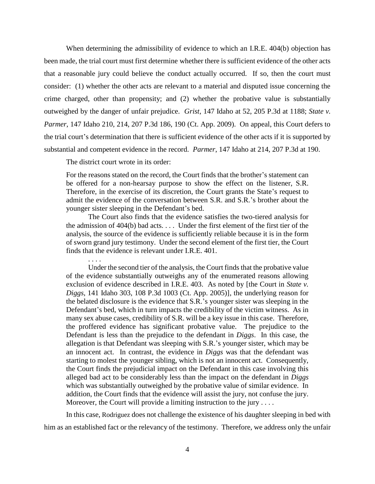When determining the admissibility of evidence to which an I.R.E. 404(b) objection has been made, the trial court must first determine whether there is sufficient evidence of the other acts that a reasonable jury could believe the conduct actually occurred. If so, then the court must consider: (1) whether the other acts are relevant to a material and disputed issue concerning the crime charged, other than propensity; and (2) whether the probative value is substantially outweighed by the danger of unfair prejudice. *Grist*, 147 Idaho at 52, 205 P.3d at 1188; *State v. Parmer*, 147 Idaho 210, 214, 207 P.3d 186, 190 (Ct. App. 2009). On appeal, this Court defers to the trial court's determination that there is sufficient evidence of the other acts if it is supported by substantial and competent evidence in the record. *Parmer*, 147 Idaho at 214, 207 P.3d at 190.

The district court wrote in its order:

. . . .

For the reasons stated on the record, the Court finds that the brother's statement can be offered for a non-hearsay purpose to show the effect on the listener, S.R. Therefore, in the exercise of its discretion, the Court grants the State's request to admit the evidence of the conversation between S.R. and S.R.'s brother about the younger sister sleeping in the Defendant's bed.

The Court also finds that the evidence satisfies the two-tiered analysis for the admission of 404(b) bad acts. . . . Under the first element of the first tier of the analysis, the source of the evidence is sufficiently reliable because it is in the form of sworn grand jury testimony. Under the second element of the first tier, the Court finds that the evidence is relevant under I.R.E. 401.

Under the second tier of the analysis, the Court finds that the probative value of the evidence substantially outweighs any of the enumerated reasons allowing exclusion of evidence described in I.R.E. 403. As noted by [the Court in *State v. Diggs*, 141 Idaho 303, 108 P.3d 1003 (Ct. App. 2005)], the underlying reason for the belated disclosure is the evidence that S.R.'s younger sister was sleeping in the Defendant's bed, which in turn impacts the credibility of the victim witness. As in many sex abuse cases, credibility of S.R. will be a key issue in this case. Therefore, the proffered evidence has significant probative value. The prejudice to the Defendant is less than the prejudice to the defendant in *Diggs*. In this case, the allegation is that Defendant was sleeping with S.R.'s younger sister, which may be an innocent act. In contrast, the evidence in *Diggs* was that the defendant was starting to molest the younger sibling, which is not an innocent act. Consequently, the Court finds the prejudicial impact on the Defendant in this case involving this alleged bad act to be considerably less than the impact on the defendant in *Diggs* which was substantially outweighed by the probative value of similar evidence. In addition, the Court finds that the evidence will assist the jury, not confuse the jury. Moreover, the Court will provide a limiting instruction to the jury  $\dots$ .

In this case, Rodriguez does not challenge the existence of his daughter sleeping in bed with him as an established fact or the relevancy of the testimony. Therefore, we address only the unfair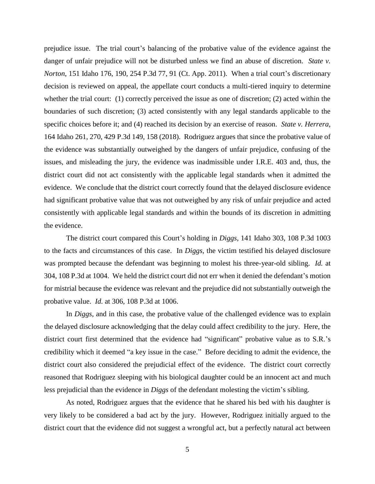prejudice issue. The trial court's balancing of the probative value of the evidence against the danger of unfair prejudice will not be disturbed unless we find an abuse of discretion. *State v. Norton*, 151 Idaho 176, 190, 254 P.3d 77, 91 (Ct. App. 2011). When a trial court's discretionary decision is reviewed on appeal, the appellate court conducts a multi-tiered inquiry to determine whether the trial court: (1) correctly perceived the issue as one of discretion; (2) acted within the boundaries of such discretion; (3) acted consistently with any legal standards applicable to the specific choices before it; and (4) reached its decision by an exercise of reason. *State v. Herrera*, 164 Idaho 261, 270, 429 P.3d 149, 158 (2018). Rodriguez argues that since the probative value of the evidence was substantially outweighed by the dangers of unfair prejudice, confusing of the issues, and misleading the jury, the evidence was inadmissible under I.R.E. 403 and, thus, the district court did not act consistently with the applicable legal standards when it admitted the evidence. We conclude that the district court correctly found that the delayed disclosure evidence had significant probative value that was not outweighed by any risk of unfair prejudice and acted consistently with applicable legal standards and within the bounds of its discretion in admitting the evidence.

The district court compared this Court's holding in *Diggs*, 141 Idaho 303, 108 P.3d 1003 to the facts and circumstances of this case. In *Diggs*, the victim testified his delayed disclosure was prompted because the defendant was beginning to molest his three-year-old sibling. *Id.* at 304, 108 P.3d at 1004. We held the district court did not err when it denied the defendant's motion for mistrial because the evidence was relevant and the prejudice did not substantially outweigh the probative value. *Id.* at 306, 108 P.3d at 1006.

In *Diggs*, and in this case, the probative value of the challenged evidence was to explain the delayed disclosure acknowledging that the delay could affect credibility to the jury. Here, the district court first determined that the evidence had "significant" probative value as to S.R.'s credibility which it deemed "a key issue in the case." Before deciding to admit the evidence, the district court also considered the prejudicial effect of the evidence. The district court correctly reasoned that Rodriguez sleeping with his biological daughter could be an innocent act and much less prejudicial than the evidence in *Diggs* of the defendant molesting the victim's sibling.

As noted, Rodriguez argues that the evidence that he shared his bed with his daughter is very likely to be considered a bad act by the jury. However, Rodriguez initially argued to the district court that the evidence did not suggest a wrongful act, but a perfectly natural act between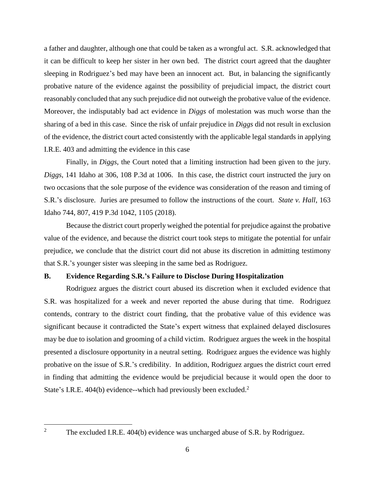a father and daughter, although one that could be taken as a wrongful act. S.R. acknowledged that it can be difficult to keep her sister in her own bed. The district court agreed that the daughter sleeping in Rodriguez's bed may have been an innocent act. But, in balancing the significantly probative nature of the evidence against the possibility of prejudicial impact, the district court reasonably concluded that any such prejudice did not outweigh the probative value of the evidence. Moreover, the indisputably bad act evidence in *Diggs* of molestation was much worse than the sharing of a bed in this case. Since the risk of unfair prejudice in *Diggs* did not result in exclusion of the evidence, the district court acted consistently with the applicable legal standards in applying I.R.E. 403 and admitting the evidence in this case

Finally, in *Diggs*, the Court noted that a limiting instruction had been given to the jury. *Diggs*, 141 Idaho at 306, 108 P.3d at 1006. In this case, the district court instructed the jury on two occasions that the sole purpose of the evidence was consideration of the reason and timing of S.R.'s disclosure. Juries are presumed to follow the instructions of the court. *State v. Hall*, 163 Idaho 744, 807, 419 P.3d 1042, 1105 (2018).

Because the district court properly weighed the potential for prejudice against the probative value of the evidence, and because the district court took steps to mitigate the potential for unfair prejudice, we conclude that the district court did not abuse its discretion in admitting testimony that S.R.'s younger sister was sleeping in the same bed as Rodriguez.

## **B. Evidence Regarding S.R.'s Failure to Disclose During Hospitalization**

Rodriguez argues the district court abused its discretion when it excluded evidence that S.R. was hospitalized for a week and never reported the abuse during that time. Rodriguez contends, contrary to the district court finding, that the probative value of this evidence was significant because it contradicted the State's expert witness that explained delayed disclosures may be due to isolation and grooming of a child victim. Rodriguez argues the week in the hospital presented a disclosure opportunity in a neutral setting. Rodriguez argues the evidence was highly probative on the issue of S.R.'s credibility. In addition, Rodriguez argues the district court erred in finding that admitting the evidence would be prejudicial because it would open the door to State's I.R.E. 404(b) evidence--which had previously been excluded.<sup>2</sup>

 $\overline{2}$ 

The excluded I.R.E. 404(b) evidence was uncharged abuse of S.R. by Rodriguez.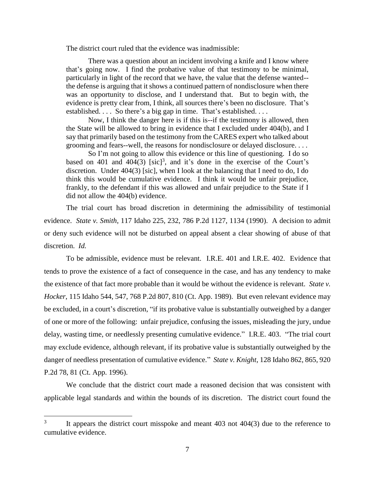The district court ruled that the evidence was inadmissible:

There was a question about an incident involving a knife and I know where that's going now. I find the probative value of that testimony to be minimal, particularly in light of the record that we have, the value that the defense wanted- the defense is arguing that it shows a continued pattern of nondisclosure when there was an opportunity to disclose, and I understand that. But to begin with, the evidence is pretty clear from, I think, all sources there's been no disclosure. That's established. . . . So there's a big gap in time. That's established. . . .

Now, I think the danger here is if this is--if the testimony is allowed, then the State will be allowed to bring in evidence that I excluded under 404(b), and I say that primarily based on the testimony from the CARES expert who talked about grooming and fears--well, the reasons for nondisclosure or delayed disclosure. . . .

So I'm not going to allow this evidence or this line of questioning. I do so based on 401 and 404(3)  $[\text{sic}]^3$ , and it's done in the exercise of the Court's discretion. Under 404(3) [sic], when I look at the balancing that I need to do, I do think this would be cumulative evidence. I think it would be unfair prejudice, frankly, to the defendant if this was allowed and unfair prejudice to the State if I did not allow the 404(b) evidence.

The trial court has broad discretion in determining the admissibility of testimonial evidence. *State v. Smith*, 117 Idaho 225, 232, 786 P.2d 1127, 1134 (1990). A decision to admit or deny such evidence will not be disturbed on appeal absent a clear showing of abuse of that discretion. *Id.* 

To be admissible, evidence must be relevant. I.R.E. 401 and I.R.E. 402. Evidence that tends to prove the existence of a fact of consequence in the case, and has any tendency to make the existence of that fact more probable than it would be without the evidence is relevant. *State v. Hocker*, 115 Idaho 544, 547, 768 P.2d 807, 810 (Ct. App. 1989). But even relevant evidence may be excluded, in a court's discretion, "if its probative value is substantially outweighed by a danger of one or more of the following: unfair prejudice, confusing the issues, misleading the jury, undue delay, wasting time, or needlessly presenting cumulative evidence." I.R.E. 403. "The trial court may exclude evidence, although relevant, if its probative value is substantially outweighed by the danger of needless presentation of cumulative evidence." *State v. Knight*, 128 Idaho 862, 865, 920 P.2d 78, 81 (Ct. App. 1996).

We conclude that the district court made a reasoned decision that was consistent with applicable legal standards and within the bounds of its discretion. The district court found the

 $\overline{a}$ 

<sup>3</sup> It appears the district court misspoke and meant 403 not 404(3) due to the reference to cumulative evidence.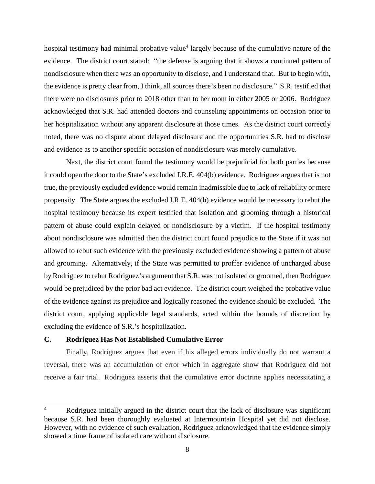hospital testimony had minimal probative value<sup>4</sup> largely because of the cumulative nature of the evidence. The district court stated: "the defense is arguing that it shows a continued pattern of nondisclosure when there was an opportunity to disclose, and I understand that. But to begin with, the evidence is pretty clear from, I think, all sources there's been no disclosure." S.R. testified that there were no disclosures prior to 2018 other than to her mom in either 2005 or 2006. Rodriguez acknowledged that S.R. had attended doctors and counseling appointments on occasion prior to her hospitalization without any apparent disclosure at those times. As the district court correctly noted, there was no dispute about delayed disclosure and the opportunities S.R. had to disclose and evidence as to another specific occasion of nondisclosure was merely cumulative.

Next, the district court found the testimony would be prejudicial for both parties because it could open the door to the State's excluded I.R.E. 404(b) evidence. Rodriguez argues that is not true, the previously excluded evidence would remain inadmissible due to lack of reliability or mere propensity. The State argues the excluded I.R.E. 404(b) evidence would be necessary to rebut the hospital testimony because its expert testified that isolation and grooming through a historical pattern of abuse could explain delayed or nondisclosure by a victim. If the hospital testimony about nondisclosure was admitted then the district court found prejudice to the State if it was not allowed to rebut such evidence with the previously excluded evidence showing a pattern of abuse and grooming. Alternatively, if the State was permitted to proffer evidence of uncharged abuse by Rodriguez to rebut Rodriguez's argument that S.R. was not isolated or groomed, then Rodriguez would be prejudiced by the prior bad act evidence. The district court weighed the probative value of the evidence against its prejudice and logically reasoned the evidence should be excluded. The district court, applying applicable legal standards, acted within the bounds of discretion by excluding the evidence of S.R.'s hospitalization.

# **C. Rodriguez Has Not Established Cumulative Error**

 $\overline{a}$ 

Finally, Rodriguez argues that even if his alleged errors individually do not warrant a reversal, there was an accumulation of error which in aggregate show that Rodriguez did not receive a fair trial. Rodriguez asserts that the cumulative error doctrine applies necessitating a

Rodriguez initially argued in the district court that the lack of disclosure was significant because S.R. had been thoroughly evaluated at Intermountain Hospital yet did not disclose. However, with no evidence of such evaluation, Rodriguez acknowledged that the evidence simply showed a time frame of isolated care without disclosure.